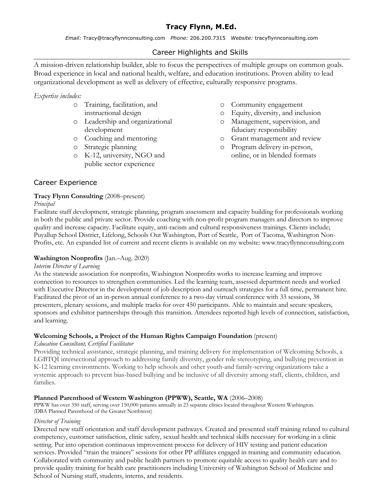*Email:* Tracy@tracyflynnconsulting.com *Phone:* 206.200.7315 *Website:* tracyflynnconsulting.com

# Career Highlights and Skills

A mission-driven relationship builder, able to focus the perspectives of multiple groups on common goals. Broad experience in local and national health, welfare, and education institutions. Proven ability to lead organizational development as well as delivery of effective, culturally responsive programs.

# *Expertise includes:*

- o Training, facilitation, and instructional design
- o Leadership and organizational development
- o Coaching and mentoring
- o Strategic planning
- o K-12, university, NGO and public sector experience
- o Community engagement
- o Equity, diversity, and inclusion

 $\mathcal{L}_\text{max}$  and  $\mathcal{L}_\text{max}$  and  $\mathcal{L}_\text{max}$  and  $\mathcal{L}_\text{max}$ 

- o Management, supervision, and fiduciary responsibility
- o Grant management and review
- o Program delivery in-person, online, or in blended formats

# Career Experience

# **Tracy Flynn Consulting** (2008–present)

### *Principal*

Facilitate staff development, strategic planning, program assessment and capacity building for professionals working in both the public and private sector. Provide coaching with non-profit program managers and directors to improve quality and increase capacity. Facilitate equity, anti-racism and cultural responsiveness trainings. Clients include; Puyallup School District, Lifelong, Schools Out Washington, Port of Seattle, Port of Tacoma, Washington Non-Profits, etc. An expanded list of current and recent clients is available on my website: www.tracyflynnconsulting.com

# **Washington Nonprofits** (Jan.–Aug. 2020)

# *Interim Director of Learning*

As the statewide association for nonprofits, Washington Nonprofits works to increase learning and improve connection to resources to strengthen communities. Led the learning team, assessed department needs and worked with Executive Director in the development of job description and outreach strategies for a full time, permanent hire. Facilitated the pivot of an in-person annual conference to a two-day virtual conference with 33 sessions, 38 presenters, plenary sessions, and multiple tracks for over 450 participants. Able to maintain and secure speakers, sponsors and exhibitor partnerships through this transition. Attendees reported high levels of connection, satisfaction, and learning.

# **Welcoming Schools, a Project of the Human Rights Campaign Foundation** (present)

# *Education Consultant, Certified Facilitator*

Providing technical assistance, strategic planning, and training delivery for implementation of Welcoming Schools, a LGBTQI intersectional approach to addressing family diversity, gender role stereotyping, and bullying prevention in K-12 learning environments. Working to help schools and other youth-and family-serving organizations take a systemic approach to prevent bias-based bullying and be inclusive of all diversity among staff, clients, children, and families.

# **Planned Parenthood of Western Washington (PPWW), Seattle, WA** (2006–2008)

PPWW has over 350 staff, serving over 150,000 patients annually in 23 separate clinics located throughout Western Washington. (DBA Planned Parenthood of the Greater Northwest)

# *Director of Training*

Directed new staff orientation and staff development pathways. Created and presented staff training related to cultural competency, customer satisfaction, clinic safety, sexual health and technical skills necessary for working in a clinic setting. Put into operation continuous improvement process for delivery of HIV testing and patient education services. Provided "train the trainers" sessions for other PP affiliates engaged in training and community education. Collaborated with community and public health partners to promote equitable access to quality health care and to provide quality training for health care practitioners including University of Washington School of Medicine and School of Nursing staff, students, interns, and residents.